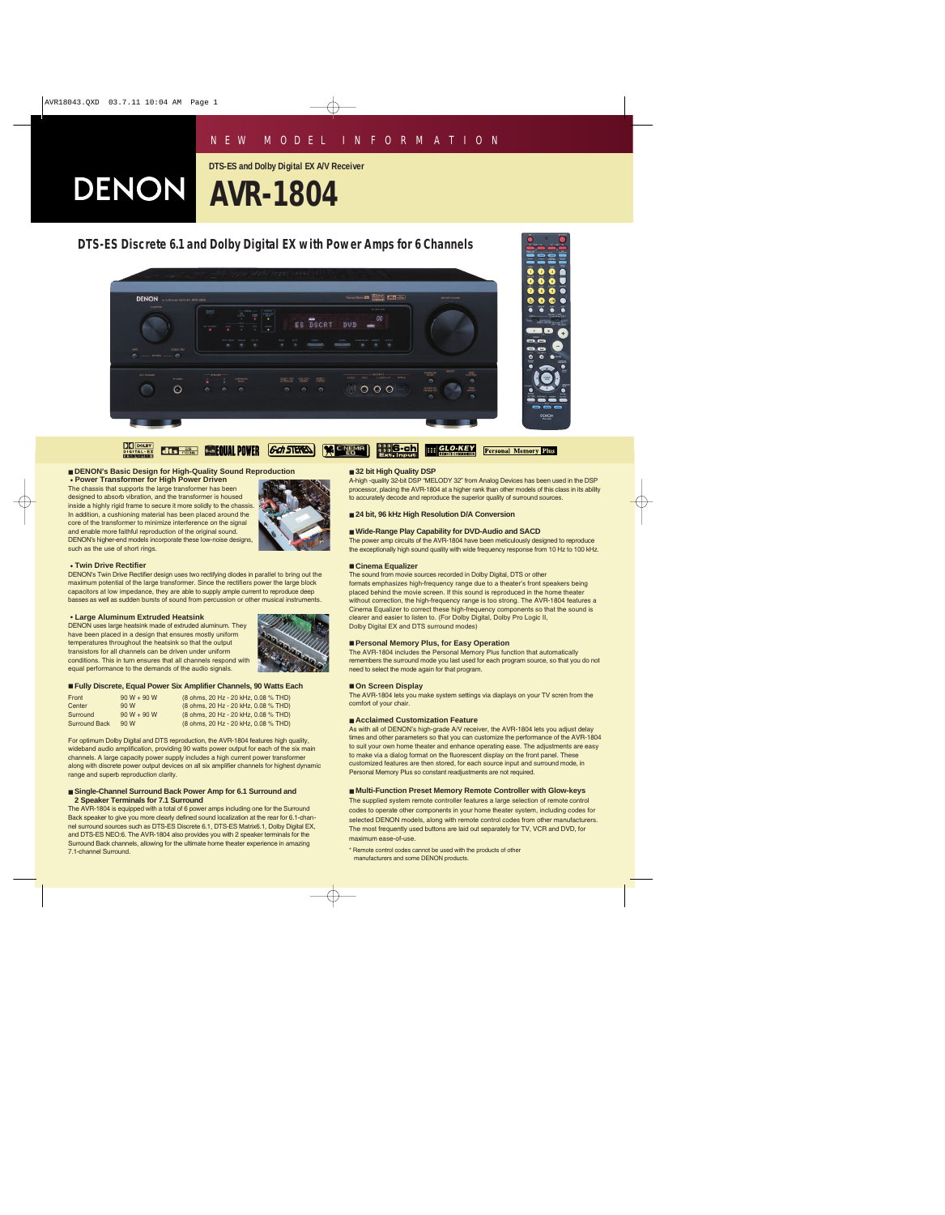# *NEW MODEL INFORMATION*

**DTS-ES and Dolby Digital EX A/V Receiver**

**DENON AVR-1804** 



## ■ **DENON's Basic Design for High-Quality Sound Reproduction**

**• Power Transformer for High Power Driven** The chassis that supports the large transformer has been designed to absorb vibration, and the transformer is housed inside a highly rigid frame to secure it more solidly to the chassis. In addition, a cushioning material has been placed around the core of the transformer to minimize interference on the signal and enable more faithful reproduction of the original sound. DENON's higher-end models incorporate these low-noise designs, such as the use of short rings.



### **• Twin Drive Rectifier**

DENON's Twin Drive Rectifier design uses two rectifying diodes in parallel to bring out the maximum potential of the large transformer. Since the rectifiers power the large block capacitors at low impedance, they are able to supply ample current to reproduce deep basses as well as sudden bursts of sound from percussion or other musical instruments.

#### **• Large Aluminum Extruded Heatsink**

DENON uses large heatsink made of extruded aluminum. They have been placed in a design that ensures mostly uniform temperatures throughout the heatsink so that the output transistors for all channels can be driven under uniform conditions. This in turn ensures that all channels respond with equal performance to the demands of the audio signals.



#### ■ **Fully Discrete, Equal Power Six Amplifier Channels, 90 Watts Each**

| Front                | $90 W + 90 W$ | (8 ohms, 20 Hz - 20 kHz, 0.08 % THD) |
|----------------------|---------------|--------------------------------------|
| Center               | 90 W          | (8 ohms, 20 Hz - 20 kHz, 0.08 % THD) |
| Surround             | $90 W + 90 W$ | (8 ohms, 20 Hz - 20 kHz, 0.08 % THD) |
| <b>Surround Back</b> | 90 W          | (8 ohms, 20 Hz - 20 kHz, 0.08 % THD) |

For optimum Dolby Digital and DTS reproduction, the AVR-1804 features high quality, wideband audio amplification, providing 90 watts power output for each of the six main channels. A large capacity power supply includes a high current power transformer along with discrete power output devices on all six amplifier channels for highest dynamic range and superb reproduction clarity.

#### ■ Single-Channel Surround Back Power Amp for 6.1 Surround and **2 Speaker Terminals for 7.1 Surround**

The AVR-1804 is equipped with a total of 6 power amps including one for the Surround Back speaker to give you more clearly defined sound localization at the rear for 6.1-channel surround sources such as DTS-ES Discrete 6.1, DTS-ES Matrix6.1, Dolby Digital EX, and DTS-ES NEO:6. The AVR-1804 also provides you with 2 speaker terminals for the Surround Back channels, allowing for the ultimate home theater experience in amazing 7.1-channel Surround.

#### ■ 32 bit High Quality DSP

A-high -quality 32-bit DSP "MELODY 32" from Analog Devices has been used in the DSP processor, placing the AVR-1804 at a higher rank than other models of this class in its ability to accurately decode and reproduce the superior quality of surround sources.

■ 24 bit, 96 kHz High Resolution D/A Conversion

### ■ Wide-Range Play Capability for DVD-Audio and SACD

The power amp circuits of the AVR-1804 have been meticulously designed to reproduce the exceptionally high sound quality with wide frequency response from 10 Hz to 100 kHz.

#### ■ **Cinema Equalizer**

The sound from movie sources recorded in Dolby Digital, DTS or other formats emphasizes high-frequency range due to a theater's front speakers being placed behind the movie screen. If this sound is reproduced in the home theater without correction, the high-frequency range is too strong. The AVR-1804 features a Cinema Equalizer to correct these high-frequency components so that the sound is clearer and easier to listen to. (For Dolby Digital, Dolby Pro Logic II, Dolby Digital EX and DTS surround modes)

### ■ **Personal Memory Plus, for Easy Operation**

The AVR-1804 includes the Personal Memory Plus function that automatically remembers the surround mode you last used for each program source, so that you do not need to select the mode again for that program.

#### ■ **On Screen Display**

The AVR-1804 lets you make system settings via diaplays on your TV scren from the comfort of your chair.

### ■ **Acclaimed Customization Feature**

As with all of DENON's high-grade A/V receiver, the AVR-1804 lets you adjust delay times and other parameters so that you can customize the performance of the AVR-1804 to suit your own home theater and enhance operating ease. The adjustments are easy to make via a dialog format on the fluorescent display on the front panel. These customized features are then stored, for each source input and surround mode, in Personal Memory Plus so constant readjustments are not required.

#### ■ **Multi-Function Preset Memory Remote Controller with Glow-keys**

The supplied system remote controller features a large selection of remote control codes to operate other components in your home theater system, including codes for selected DENON models, along with remote control codes from other manufacturers. The most frequently used buttons are laid out separately for TV, VCR and DVD, for maximum ease-of-use.

\* Remote control codes cannot be used with the products of other manufacturers and some DENON products.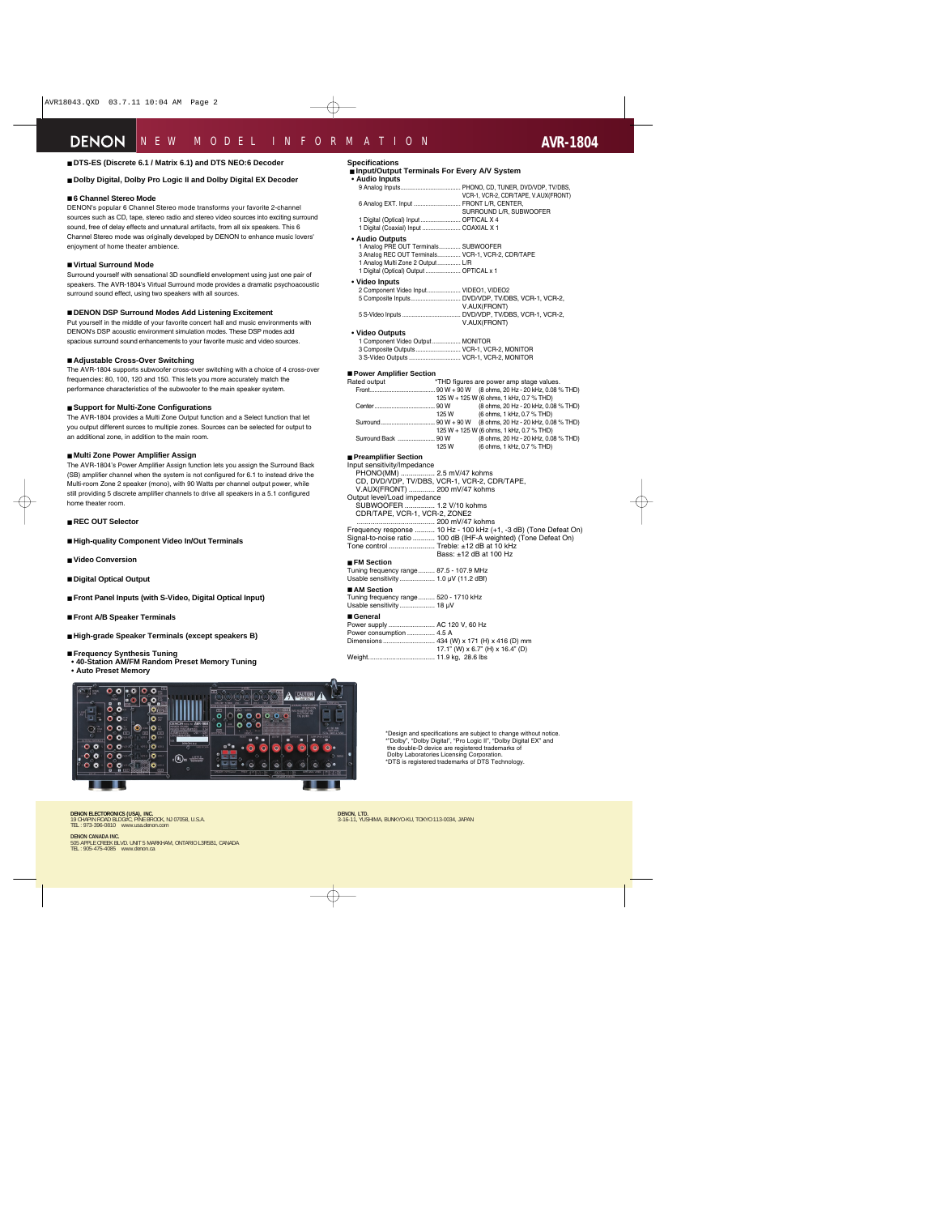## ■ **DTS-ES (Discrete 6.1 / Matrix 6.1) and DTS NEO:6 Decoder**

## ■ **Dolby Digital, Dolby Pro Logic II and Dolby Digital EX Decoder**

## ■ **6 Channel Stereo Mode**

DENON's popular 6 Channel Stereo mode transforms your favorite 2-channel sources such as CD, tape, stereo radio and stereo video sources into exciting surround sound, free of delay effects and unnatural artifacts, from all six speakers. This 6 Channel Stereo mode was originally developed by DENON to enhance music lovers' enjoyment of home theater ambience.

## ■ **Virtual Surround Mode**

Surround yourself with sensational 3D soundfield envelopment using just one pair of speakers. The AVR-1804's Virtual Surround mode provides a dramatic psychoacoustic surround sound effect, using two speakers with all sources.

## ■ **DENON DSP Surround Modes Add Listening Excitement**

Put yourself in the middle of your favorite concert hall and music environments with DENON's DSP acoustic environment simulation modes. These DSP modes add spacious surround sound enhancements to your favorite music and video sources.

## ■ **Adjustable Cross-Over Switching**

The AVR-1804 supports subwoofer cross-over switching with a choice of 4 cross-over frequencies: 80, 100, 120 and 150. This lets you more accurately match the performance characteristics of the subwoofer to the main speaker system.

## ■ **Support for Multi-Zone Configurations**

The AVR-1804 provides a Multi Zone Output function and a Select function that let you output different surces to multiple zones. Sources can be selected for output to an additional zone, in addition to the main room.

## ■ **Multi Zone Power Amplifier Assign**

The AVR-1804's Power Amplifier Assign function lets you assign the Surround Back (SB) amplifier channel when the system is not configured for 6.1 to instead drive the Multi-room Zone 2 speaker (mono), with 90 Watts per channel output power, while still providing 5 discrete amplifier channels to drive all speakers in a 5.1 configured home theater room.

■ **REC OUT Selector**

- **High-quality Component Video In/Out Terminals**
- **Video Conversion**
- **Digital Optical Output**
- **Front Panel Inputs (with S-Video, Digital Optical Input)**
- **Front A/B Speaker Terminals**
- **High-grade Speaker Terminals (except speakers B)**
- **Frequency Synthesis Tuning**
- **40-Station AM/FM Random Preset Memory Tuning**
- **Auto Preset Memory**



## **Specifications**

## ■ **Input/Output Terminals For Every A/V System**

| • Audio Inputs                                    |                                      |
|---------------------------------------------------|--------------------------------------|
|                                                   |                                      |
|                                                   | VCR-1, VCR-2, CDR/TAPE, V.AUX(FRONT) |
| 6 Analog EXT. Input  FRONT L/R, CENTER,           |                                      |
|                                                   | SURROUND L/R, SUBWOOFER              |
| 1 Digital (Optical) Input  OPTICAL X 4            |                                      |
| 1 Digital (Coaxial) Input  COAXIAL X 1            |                                      |
| • Audio Outputs                                   |                                      |
| 1 Analog PRE OUT Terminals SUBWOOFER              |                                      |
| 3 Analog REC OUT Terminals VCR-1, VCR-2, CDR/TAPE |                                      |
| 1 Analog Multi Zone 2 Output L/R                  |                                      |
| 1 Digital (Optical) Output  OPTICAL x 1           |                                      |
|                                                   |                                      |

**• Video Inputs**

| 2 Component Video Input VIDEO1, VIDEO2 |              |
|----------------------------------------|--------------|
|                                        |              |
|                                        | V.AUX(FRONT) |
|                                        |              |
|                                        | V.AUX(FRONT) |

## **• Video Outputs**

| 1 Component Video Output MONITOR          |  |
|-------------------------------------------|--|
| 3 Composite Outputs VCR-1, VCR-2, MONITOR |  |
| 3 S-Video Outputs  VCR-1, VCR-2, MONITOR  |  |

#### ■ **Power Amplifier Section**

|      | *THD figures are power amp stage values.          |
|------|---------------------------------------------------|
|      | .90 W + 90 W (8 ohms, 20 Hz - 20 kHz, 0.08 % THD) |
|      | 125 W + 125 W (6 ohms, 1 kHz, 0.7 % THD)          |
|      | (8 ohms, 20 Hz - 20 kHz, 0.08 % THD)              |
| 125W | (6 ohms, 1 kHz, 0.7 % THD)                        |
|      |                                                   |
|      | 125 W + 125 W (6 ohms, 1 kHz, 0.7 % THD)          |
|      | (8 ohms, 20 Hz - 20 kHz, 0.08 % THD)              |
| 125W | (6 ohms, 1 kHz, 0.7 % THD)                        |
|      |                                                   |

## ■ **Preamplifier Section**

Input sensitivity/Impedance PHONO(MM) ................. 2.5 mV/47 kohms CD, DVD/VDP, TV/DBS, VCR-1, VCR-2, CDR/TAPE, V.AUX(FRONT) ............. 200 mV/47 kohms Output level/Load impedance SUBWOOFER ............... 1.2 V/10 kohms CDR/TAPE, VCR-1, VCR-2, ZONE2 ....................................... 200 mV/47 kohms Frequency response .......... 10 Hz - 100 kHz (+1, -3 dB) (Tone Defeat On) Signal-to-noise ratio ........... 100 dB (IHF-A weighted) (Tone Defeat On) Tone control ....................... Treble: ±12 dB at 10 kHz Bass: ±12 dB at 100 Hz

## ■ **FM Section**

| Tuning frequency range 87.5 - 107.9 MHz |  |
|-----------------------------------------|--|
|                                         |  |

## ■ **AM** Section

Tuning frequency range......... 520 - 1710 kHz Usable sensitivity ................... 18 µV

#### ■ **General**

| Power supply  AC 120 V, 60 Hz |                                           |
|-------------------------------|-------------------------------------------|
| Power consumption  4.5 A      |                                           |
|                               | Dimensions 434 (W) x 171 (H) x 416 (D) mm |
|                               | 17.1" (W) x 6.7" (H) x 16.4" (D)          |
| Weight 11.9 kg, 28.6 lbs      |                                           |
|                               |                                           |

\*Design and specifications are subject to change without notice. \*"Dolby", "Dolby Digital", "Pro Logic II", "Dolby Digital EX" and the double-D device are registered trademarks of Dolby Laboratories Licensing Corporation. \*DTS is registered trademarks of DTS Technology.

**DENON ELECTORONICS (USA), INC.** 19 CHAPIN ROAD BLDG#C, PINE BROOK, NJ 07058, U.S.A. TEL : 973-396-0810 www.usa.denon.com

**DENON CANADA INC.**<br>505 APPLE CREEK BLVD. UNIT 5 MARKHAM, ONTARIO L3R5B1, CANADA<br>TEL : 905-475-4085 www.denon.ca

**DENON, LTD.** 3-16-11, YUSHIMA, BUNKYO-KU, TOKYO 113-0034, JAPAN